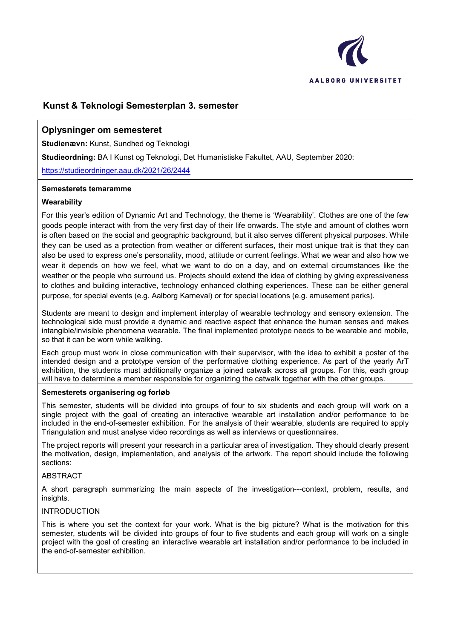

# **Kunst & Teknologi Semesterplan 3. semester**

## **Oplysninger om semesteret**

**Studienævn:** Kunst, Sundhed og Teknologi

**Studieordning:** BA I Kunst og Teknologi, Det Humanistiske Fakultet, AAU, September 2020:

<https://studieordninger.aau.dk/2021/26/2444>

#### **Semesterets temaramme**

#### **Wearability**

For this year's edition of Dynamic Art and Technology, the theme is 'Wearability'. Clothes are one of the few goods people interact with from the very first day of their life onwards. The style and amount of clothes worn is often based on the social and geographic background, but it also serves different physical purposes. While they can be used as a protection from weather or different surfaces, their most unique trait is that they can also be used to express one's personality, mood, attitude or current feelings. What we wear and also how we wear it depends on how we feel, what we want to do on a day, and on external circumstances like the weather or the people who surround us. Projects should extend the idea of clothing by giving expressiveness to clothes and building interactive, technology enhanced clothing experiences. These can be either general purpose, for special events (e.g. Aalborg Karneval) or for special locations (e.g. amusement parks).

Students are meant to design and implement interplay of wearable technology and sensory extension. The technological side must provide a dynamic and reactive aspect that enhance the human senses and makes intangible/invisible phenomena wearable. The final implemented prototype needs to be wearable and mobile, so that it can be worn while walking.

Each group must work in close communication with their supervisor, with the idea to exhibit a poster of the intended design and a prototype version of the performative clothing experience. As part of the yearly ArT exhibition, the students must additionally organize a joined catwalk across all groups. For this, each group will have to determine a member responsible for organizing the catwalk together with the other groups.

#### **Semesterets organisering og forløb**

This semester, students will be divided into groups of four to six students and each group will work on a single project with the goal of creating an interactive wearable art installation and/or performance to be included in the end-of-semester exhibition. For the analysis of their wearable, students are required to apply Triangulation and must analyse video recordings as well as interviews or questionnaires.

The project reports will present your research in a particular area of investigation. They should clearly present the motivation, design, implementation, and analysis of the artwork. The report should include the following sections:

#### **ABSTRACT**

A short paragraph summarizing the main aspects of the investigation---context, problem, results, and insights.

#### INTRODUCTION

This is where you set the context for your work. What is the big picture? What is the motivation for this semester, students will be divided into groups of four to five students and each group will work on a single project with the goal of creating an interactive wearable art installation and/or performance to be included in the end-of-semester exhibition.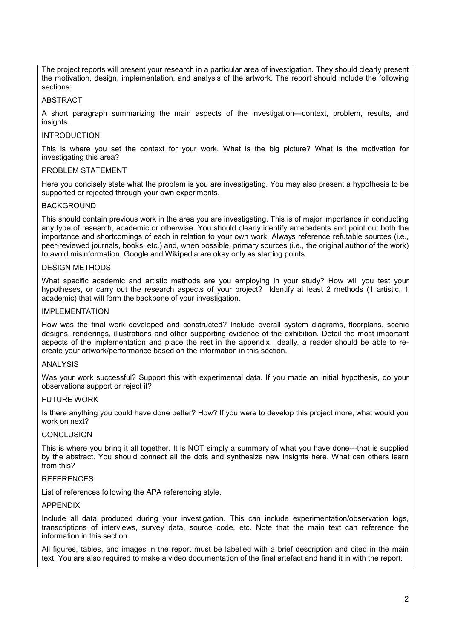The project reports will present your research in a particular area of investigation. They should clearly present the motivation, design, implementation, and analysis of the artwork. The report should include the following sections:

#### ABSTRACT

A short paragraph summarizing the main aspects of the investigation---context, problem, results, and insights.

#### INTRODUCTION

This is where you set the context for your work. What is the big picture? What is the motivation for investigating this area?

#### PROBLEM STATEMENT

Here you concisely state what the problem is you are investigating. You may also present a hypothesis to be supported or rejected through your own experiments.

#### BACKGROUND

This should contain previous work in the area you are investigating. This is of major importance in conducting any type of research, academic or otherwise. You should clearly identify antecedents and point out both the importance and shortcomings of each in relation to your own work. Always reference refutable sources (i.e., peer-reviewed journals, books, etc.) and, when possible, primary sources (i.e., the original author of the work) to avoid misinformation. Google and Wikipedia are okay only as starting points.

#### DESIGN METHODS

What specific academic and artistic methods are you employing in your study? How will you test your hypotheses, or carry out the research aspects of your project? Identify at least 2 methods (1 artistic, 1 academic) that will form the backbone of your investigation.

#### IMPLEMENTATION

How was the final work developed and constructed? Include overall system diagrams, floorplans, scenic designs, renderings, illustrations and other supporting evidence of the exhibition. Detail the most important aspects of the implementation and place the rest in the appendix. Ideally, a reader should be able to recreate your artwork/performance based on the information in this section.

#### ANALYSIS

Was your work successful? Support this with experimental data. If you made an initial hypothesis, do your observations support or reject it?

#### FUTURE WORK

Is there anything you could have done better? How? If you were to develop this project more, what would you work on next?

#### **CONCLUSION**

This is where you bring it all together. It is NOT simply a summary of what you have done---that is supplied by the abstract. You should connect all the dots and synthesize new insights here. What can others learn from this?

## **REFERENCES**

List of references following the APA referencing style.

#### APPENDIX

Include all data produced during your investigation. This can include experimentation/observation logs, transcriptions of interviews, survey data, source code, etc. Note that the main text can reference the information in this section.

All figures, tables, and images in the report must be labelled with a brief description and cited in the main text. You are also required to make a video documentation of the final artefact and hand it in with the report.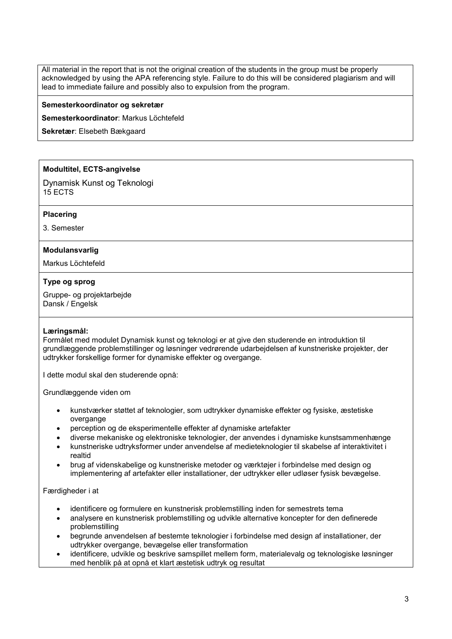All material in the report that is not the original creation of the students in the group must be properly acknowledged by using the APA referencing style. Failure to do this will be considered plagiarism and will lead to immediate failure and possibly also to expulsion from the program.

#### **Semesterkoordinator og sekretær**

**Semesterkoordinator**: Markus Löchtefeld

**Sekretær**: Elsebeth Bækgaard

### **Modultitel, ECTS-angivelse**

Dynamisk Kunst og Teknologi 15 ECTS

#### **Placering**

3. Semester

#### **Modulansvarlig**

Markus Löchtefeld

#### **Type og sprog**

Gruppe- og projektarbejde Dansk / Engelsk

#### **Læringsmål:**

Formålet med modulet Dynamisk kunst og teknologi er at give den studerende en introduktion til grundlæggende problemstillinger og løsninger vedrørende udarbejdelsen af kunstneriske projekter, der udtrykker forskellige former for dynamiske effekter og overgange.

I dette modul skal den studerende opnå:

Grundlæggende viden om

- kunstværker støttet af teknologier, som udtrykker dynamiske effekter og fysiske, æstetiske overgange
- perception og de eksperimentelle effekter af dynamiske artefakter
- diverse mekaniske og elektroniske teknologier, der anvendes i dynamiske kunstsammenhænge
- kunstneriske udtryksformer under anvendelse af medieteknologier til skabelse af interaktivitet i realtid
- brug af videnskabelige og kunstneriske metoder og værktøjer i forbindelse med design og implementering af artefakter eller installationer, der udtrykker eller udløser fysisk bevægelse.

#### Færdigheder i at

- identificere og formulere en kunstnerisk problemstilling inden for semestrets tema
- analysere en kunstnerisk problemstilling og udvikle alternative koncepter for den definerede problemstilling
- begrunde anvendelsen af bestemte teknologier i forbindelse med design af installationer, der udtrykker overgange, bevægelse eller transformation
- identificere, udvikle og beskrive samspillet mellem form, materialevalg og teknologiske løsninger med henblik på at opnå et klart æstetisk udtryk og resultat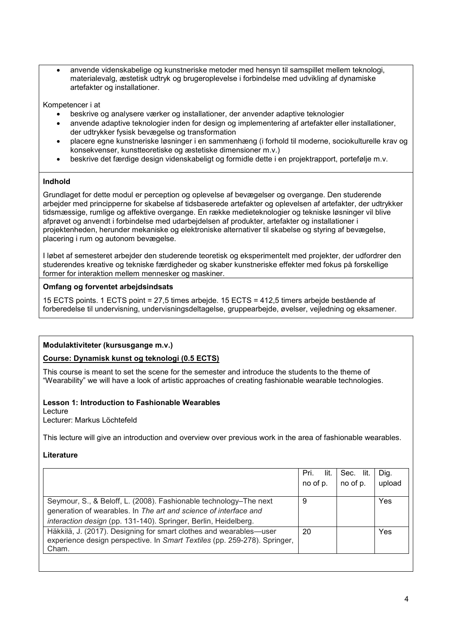• anvende videnskabelige og kunstneriske metoder med hensyn til samspillet mellem teknologi, materialevalg, æstetisk udtryk og brugeroplevelse i forbindelse med udvikling af dynamiske artefakter og installationer.

Kompetencer i at

- beskrive og analysere værker og installationer, der anvender adaptive teknologier
- anvende adaptive teknologier inden for design og implementering af artefakter eller installationer, der udtrykker fysisk bevægelse og transformation
- placere egne kunstneriske løsninger i en sammenhæng (i forhold til moderne, sociokulturelle krav og konsekvenser, kunstteoretiske og æstetiske dimensioner m.v.)
- beskrive det færdige design videnskabeligt og formidle dette i en projektrapport, portefølje m.v.

## **Indhold**

Grundlaget for dette modul er perception og oplevelse af bevægelser og overgange. Den studerende arbejder med principperne for skabelse af tidsbaserede artefakter og oplevelsen af artefakter, der udtrykker tidsmæssige, rumlige og affektive overgange. En række medieteknologier og tekniske løsninger vil blive afprøvet og anvendt i forbindelse med udarbejdelsen af produkter, artefakter og installationer i projektenheden, herunder mekaniske og elektroniske alternativer til skabelse og styring af bevægelse, placering i rum og autonom bevægelse.

I løbet af semesteret arbejder den studerende teoretisk og eksperimentelt med projekter, der udfordrer den studerendes kreative og tekniske færdigheder og skaber kunstneriske effekter med fokus på forskellige former for interaktion mellem mennesker og maskiner.

## **Omfang og forventet arbejdsindsats**

15 ECTS points. 1 ECTS point = 27,5 times arbejde. 15 ECTS = 412,5 timers arbejde bestående af forberedelse til undervisning, undervisningsdeltagelse, gruppearbejde, øvelser, vejledning og eksamener.

### **Modulaktiviteter (kursusgange m.v.)**

### **Course: Dynamisk kunst og teknologi (0.5 ECTS)**

This course is meant to set the scene for the semester and introduce the students to the theme of "Wearability" we will have a look of artistic approaches of creating fashionable wearable technologies.

### **Lesson 1: Introduction to Fashionable Wearables**

Lecture Lecturer: Markus Löchtefeld

This lecture will give an introduction and overview over previous work in the area of fashionable wearables.

### **Literature**

|                                                                                                                                                 | lit.<br>Pri. | lit.<br>Sec. | Dig.   |
|-------------------------------------------------------------------------------------------------------------------------------------------------|--------------|--------------|--------|
|                                                                                                                                                 | no of p.     | no of p.     | upload |
|                                                                                                                                                 |              |              |        |
| Seymour, S., & Beloff, L. (2008). Fashionable technology-The next                                                                               | 9            |              | Yes    |
| generation of wearables. In The art and science of interface and                                                                                |              |              |        |
| interaction design (pp. 131-140). Springer, Berlin, Heidelberg.                                                                                 |              |              |        |
| Häkkilä, J. (2017). Designing for smart clothes and wearables—user<br>experience design perspective. In Smart Textiles (pp. 259-278). Springer, | 20           |              | Yes    |
| Cham.                                                                                                                                           |              |              |        |
|                                                                                                                                                 |              |              |        |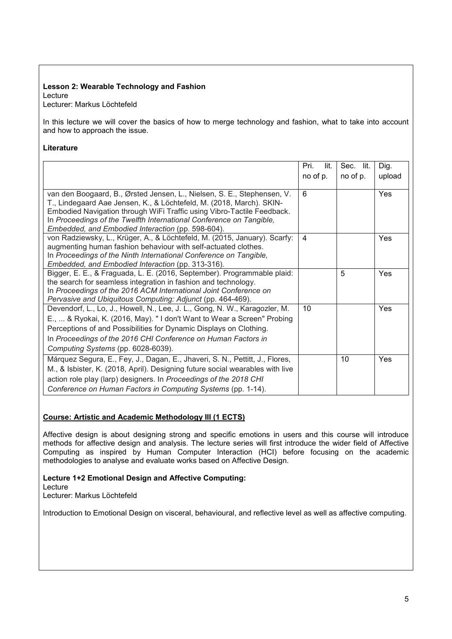#### **Lesson 2: Wearable Technology and Fashion** Lecture

Lecturer: Markus Löchtefeld

In this lecture we will cover the basics of how to merge technology and fashion, what to take into account and how to approach the issue.

### **Literature**

|                                                                                                                                                 | Pri.<br>lit.   | Sec. lit. | Dig.   |
|-------------------------------------------------------------------------------------------------------------------------------------------------|----------------|-----------|--------|
|                                                                                                                                                 | no of p.       | no of p.  | upload |
|                                                                                                                                                 |                |           |        |
| van den Boogaard, B., Ørsted Jensen, L., Nielsen, S. E., Stephensen, V.<br>T., Lindegaard Aae Jensen, K., & Löchtefeld, M. (2018, March). SKIN- | 6              |           | Yes    |
| Embodied Navigation through WiFi Traffic using Vibro-Tactile Feedback.                                                                          |                |           |        |
| In Proceedings of the Twelfth International Conference on Tangible,                                                                             |                |           |        |
| Embedded, and Embodied Interaction (pp. 598-604).                                                                                               |                |           |        |
| von Radziewsky, L., Krüger, A., & Löchtefeld, M. (2015, January). Scarfy:                                                                       | $\overline{4}$ |           | Yes    |
| augmenting human fashion behaviour with self-actuated clothes.                                                                                  |                |           |        |
| In Proceedings of the Ninth International Conference on Tangible,                                                                               |                |           |        |
| Embedded, and Embodied Interaction (pp. 313-316).<br>Bigger, E. E., & Fraguada, L. E. (2016, September). Programmable plaid:                    |                | 5         | Yes    |
| the search for seamless integration in fashion and technology.                                                                                  |                |           |        |
| In Proceedings of the 2016 ACM International Joint Conference on                                                                                |                |           |        |
| Pervasive and Ubiquitous Computing: Adjunct (pp. 464-469).                                                                                      |                |           |        |
| Devendorf, L., Lo, J., Howell, N., Lee, J. L., Gong, N. W., Karagozler, M.                                                                      | 10             |           | Yes    |
| E.,  & Ryokai, K. (2016, May). "I don't Want to Wear a Screen" Probing                                                                          |                |           |        |
| Perceptions of and Possibilities for Dynamic Displays on Clothing.                                                                              |                |           |        |
| In Proceedings of the 2016 CHI Conference on Human Factors in                                                                                   |                |           |        |
| Computing Systems (pp. 6028-6039).                                                                                                              |                |           |        |
| Márquez Segura, E., Fey, J., Dagan, E., Jhaveri, S. N., Pettitt, J., Flores,                                                                    |                | 10        | Yes    |
| M., & Isbister, K. (2018, April). Designing future social wearables with live                                                                   |                |           |        |
| action role play (larp) designers. In Proceedings of the 2018 CHI                                                                               |                |           |        |
| Conference on Human Factors in Computing Systems (pp. 1-14).                                                                                    |                |           |        |

## **Course: Artistic and Academic Methodology III (1 ECTS)**

Affective design is about designing strong and specific emotions in users and this course will introduce methods for affective design and analysis. The lecture series will first introduce the wider field of Affective Computing as inspired by Human Computer Interaction (HCI) before focusing on the academic methodologies to analyse and evaluate works based on Affective Design.

# **Lecture 1+2 Emotional Design and Affective Computing:**  Lecture

Lecturer: Markus Löchtefeld

Introduction to Emotional Design on visceral, behavioural, and reflective level as well as affective computing.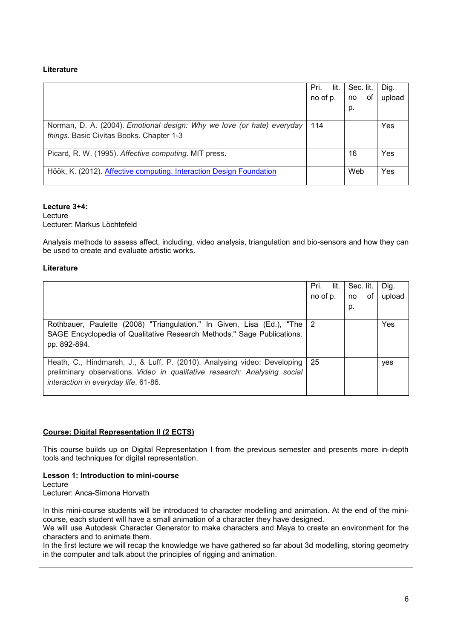| Literature                                                                                                         |              |           |        |
|--------------------------------------------------------------------------------------------------------------------|--------------|-----------|--------|
|                                                                                                                    | Pri.<br>lit. | Sec. lit. | Dig.   |
|                                                                                                                    | no of p.     | 0f<br>no  | upload |
|                                                                                                                    |              | p.        |        |
| Norman, D. A. (2004). Emotional design: Why we love (or hate) everyday<br>things. Basic Civitas Books. Chapter 1-3 | 114          |           | Yes    |
| Picard, R. W. (1995). Affective computing. MIT press.                                                              |              | 16        | Yes    |
| Höök, K. (2012). Affective computing. Interaction Design Foundation                                                |              | Web       | Yes    |

### **Lecture 3+4:**

Lecture Lecturer: Markus Löchtefeld

Analysis methods to assess affect, including, video analysis, triangulation and bio-sensors and how they can be used to create and evaluate artistic works.

## **Literature**

|                                                                                                                                                                                               | lit.<br>Pri.<br>no of p. | Sec. lit.<br>of<br>no<br>p. | Dig.<br>upload |
|-----------------------------------------------------------------------------------------------------------------------------------------------------------------------------------------------|--------------------------|-----------------------------|----------------|
| Rothbauer, Paulette (2008) "Triangulation." In Given, Lisa (Ed.), "The 2<br>SAGE Encyclopedia of Qualitative Research Methods." Sage Publications.<br>pp. 892-894.                            |                          |                             | Yes            |
| Heath, C., Hindmarsh, J., & Luff, P. (2010). Analysing video: Developing<br>preliminary observations. Video in qualitative research: Analysing social<br>interaction in everyday life, 61-86. | 25                       |                             | yes            |

## **Course: Digital Representation II (2 ECTS)**

This course builds up on Digital Representation I from the previous semester and presents more in-depth tools and techniques for digital representation.

**Lesson 1: Introduction to mini-course** Lecture Lecturer: Anca-Simona Horvath

In this mini-course students will be introduced to character modelling and animation. At the end of the minicourse, each student will have a small animation of a character they have designed.

We will use Autodesk Character Generator to make characters and Maya to create an environment for the characters and to animate them.

In the first lecture we will recap the knowledge we have gathered so far about 3d modelling, storing geometry in the computer and talk about the principles of rigging and animation.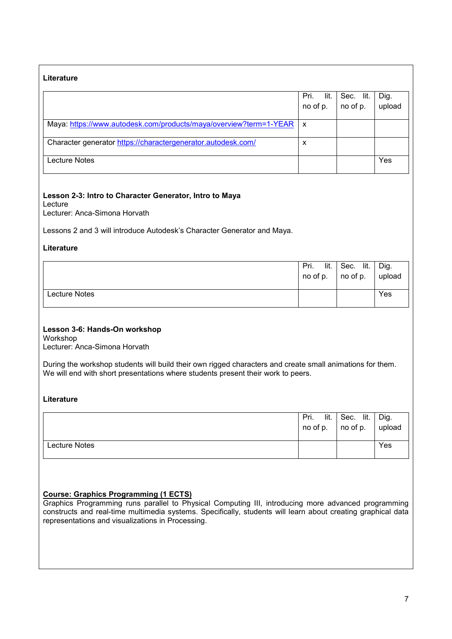## **Literature**

|                                                                   | Pri. lit.                 | Sec. lit. | Dig.   |
|-------------------------------------------------------------------|---------------------------|-----------|--------|
|                                                                   | no of p. $\vert$ no of p. |           | upload |
|                                                                   |                           |           |        |
| Maya: https://www.autodesk.com/products/maya/overview?term=1-YEAR | X                         |           |        |
| Character generator https://charactergenerator.autodesk.com/      | x                         |           |        |
| Lecture Notes                                                     |                           |           | Yes    |

## **Lesson 2-3: Intro to Character Generator, Intro to Maya**

Lecture

Lecturer: Anca-Simona Horvath

Lessons 2 and 3 will introduce Autodesk's Character Generator and Maya.

### **Literature**

|               | lit.<br>Pri. | Sec. lit.<br>$\ln$ no of p. $\ln$ no of p. $\ln$ upload | Dig. |
|---------------|--------------|---------------------------------------------------------|------|
| Lecture Notes |              |                                                         | Yes  |

### **Lesson 3-6: Hands-On workshop**

Workshop Lecturer: Anca-Simona Horvath

During the workshop students will build their own rigged characters and create small animations for them. We will end with short presentations where students present their work to peers.

### **Literature**

|               | lit.<br>Pri. | Sec. lit.                         | Dig.   |
|---------------|--------------|-----------------------------------|--------|
|               | no of p.     | $\overline{\phantom{a}}$ no of p. | upload |
|               |              |                                   |        |
| Lecture Notes |              |                                   | Yes    |
|               |              |                                   |        |

# **Course: Graphics Programming (1 ECTS)**

Graphics Programming runs parallel to Physical Computing III, introducing more advanced programming constructs and real-time multimedia systems. Specifically, students will learn about creating graphical data representations and visualizations in Processing.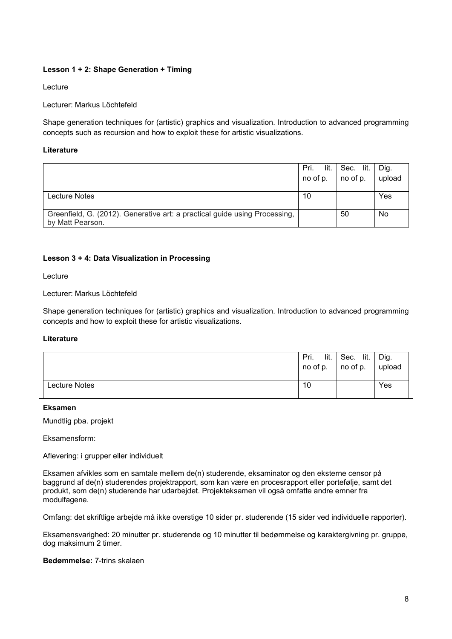## **Lesson 1 + 2: Shape Generation + Timing**

#### Lecture

#### Lecturer: Markus Löchtefeld

Shape generation techniques for (artistic) graphics and visualization. Introduction to advanced programming concepts such as recursion and how to exploit these for artistic visualizations.

#### **Literature**

|                                                                                                | lit.<br>Pri.<br>no of p. | Sec. lit.<br>no of p. | Dig.<br>upload |
|------------------------------------------------------------------------------------------------|--------------------------|-----------------------|----------------|
| Lecture Notes                                                                                  | 10                       |                       | Yes            |
| Greenfield, G. (2012). Generative art: a practical guide using Processing,<br>by Matt Pearson. |                          | 50                    | No             |

### **Lesson 3 + 4: Data Visualization in Processing**

Lecture

Lecturer: Markus Löchtefeld

Shape generation techniques for (artistic) graphics and visualization. Introduction to advanced programming concepts and how to exploit these for artistic visualizations.

### **Literature**

|               | lit.<br>Pri.<br>no of p. | Sec. lit.<br>no of p. | Dig.<br>upload |
|---------------|--------------------------|-----------------------|----------------|
| Lecture Notes | 10                       |                       | Yes            |

#### **Eksamen**

Mundtlig pba. projekt

Eksamensform:

Aflevering: i grupper eller individuelt

Eksamen afvikles som en samtale mellem de(n) studerende, eksaminator og den eksterne censor på baggrund af de(n) studerendes projektrapport, som kan være en procesrapport eller portefølje, samt det produkt, som de(n) studerende har udarbejdet. Projekteksamen vil også omfatte andre emner fra modulfagene.

Omfang: det skriftlige arbejde må ikke overstige 10 sider pr. studerende (15 sider ved individuelle rapporter).

Eksamensvarighed: 20 minutter pr. studerende og 10 minutter til bedømmelse og karaktergivning pr. gruppe, dog maksimum 2 timer.

**Bedømmelse:** 7-trins skalaen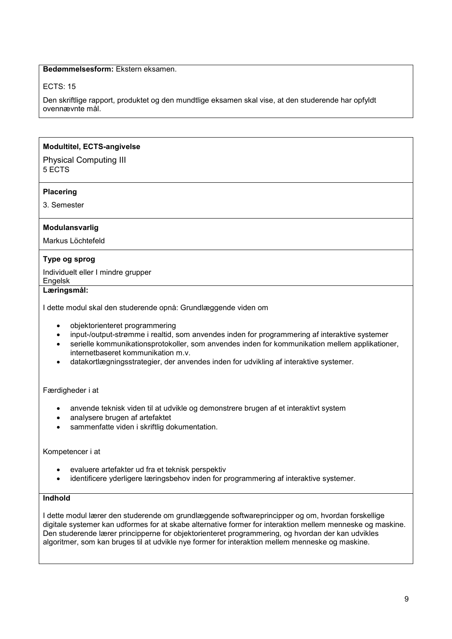### **Bedømmelsesform:** Ekstern eksamen.

### ECTS: 15

Den skriftlige rapport, produktet og den mundtlige eksamen skal vise, at den studerende har opfyldt ovennævnte mål.

#### **Modultitel, ECTS-angivelse**

#### Physical Computing III 5 ECTS

#### **Placering**

3. Semester

### **Modulansvarlig**

Markus Löchtefeld

### **Type og sprog**

Individuelt eller I mindre grupper

Engelsk

**Læringsmål:**

I dette modul skal den studerende opnå: Grundlæggende viden om

- objektorienteret programmering
- input-/output-strømme i realtid, som anvendes inden for programmering af interaktive systemer
- serielle kommunikationsprotokoller, som anvendes inden for kommunikation mellem applikationer, internetbaseret kommunikation m.v.
- datakortlægningsstrategier, der anvendes inden for udvikling af interaktive systemer.

Færdigheder i at

- anvende teknisk viden til at udvikle og demonstrere brugen af et interaktivt system
- analysere brugen af artefaktet
- sammenfatte viden i skriftlig dokumentation.

#### Kompetencer i at

- evaluere artefakter ud fra et teknisk perspektiv
- identificere yderligere læringsbehov inden for programmering af interaktive systemer.

## **Indhold**

I dette modul lærer den studerende om grundlæggende softwareprincipper og om, hvordan forskellige digitale systemer kan udformes for at skabe alternative former for interaktion mellem menneske og maskine. Den studerende lærer principperne for objektorienteret programmering, og hvordan der kan udvikles algoritmer, som kan bruges til at udvikle nye former for interaktion mellem menneske og maskine.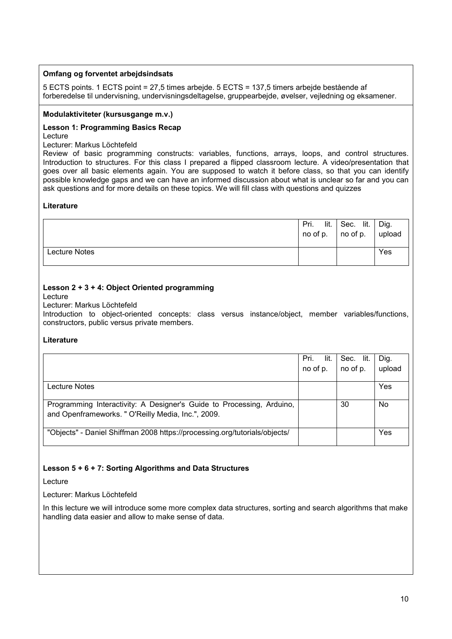## **Omfang og forventet arbejdsindsats**

5 ECTS points. 1 ECTS point = 27,5 times arbejde. 5 ECTS = 137,5 timers arbejde bestående af forberedelse til undervisning, undervisningsdeltagelse, gruppearbejde, øvelser, vejledning og eksamener.

#### **Modulaktiviteter (kursusgange m.v.)**

#### **Lesson 1: Programming Basics Recap** Lecture

Lecturer: Markus Löchtefeld

Review of basic programming constructs: variables, functions, arrays, loops, and control structures. Introduction to structures. For this class I prepared a flipped classroom lecture. A video/presentation that goes over all basic elements again. You are supposed to watch it before class, so that you can identify possible knowledge gaps and we can have an informed discussion about what is unclear so far and you can ask questions and for more details on these topics. We will fill class with questions and quizzes

#### **Literature**

|               | Pri. | $\mathsf{lit.}$ Sec. lit.<br>no of p. $ $ no of p. $ $ upload | Dig. |
|---------------|------|---------------------------------------------------------------|------|
| Lecture Notes |      |                                                               | Yes  |

## **Lesson 2 + 3 + 4: Object Oriented programming**

Lecture

#### Lecturer: Markus Löchtefeld

Introduction to object-oriented concepts: class versus instance/object, member variables/functions, constructors, public versus private members.

### **Literature**

|                                                                            | Pri.<br>lit. | Sec. lit. | Dig.   |
|----------------------------------------------------------------------------|--------------|-----------|--------|
|                                                                            | no of p.     | no of p.  | upload |
|                                                                            |              |           |        |
| Lecture Notes                                                              |              |           | Yes    |
|                                                                            |              |           |        |
| Programming Interactivity: A Designer's Guide to Processing, Arduino,      |              | 30        | No     |
| and Openframeworks. " O'Reilly Media, Inc.", 2009.                         |              |           |        |
|                                                                            |              |           |        |
| "Objects" - Daniel Shiffman 2008 https://processing.org/tutorials/objects/ |              |           | Yes    |

### **Lesson 5 + 6 + 7: Sorting Algorithms and Data Structures**

Lecture

### Lecturer: Markus Löchtefeld

In this lecture we will introduce some more complex data structures, sorting and search algorithms that make handling data easier and allow to make sense of data.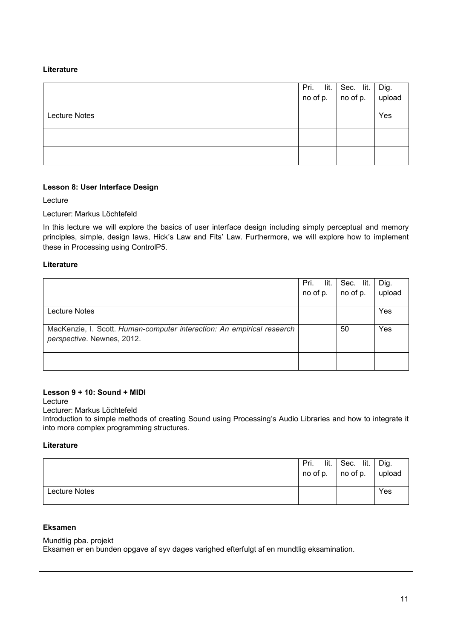| Literature           |              |                           |                |
|----------------------|--------------|---------------------------|----------------|
|                      | Pri.<br>lit. | Sec. lit.                 | Dig.<br>upload |
|                      |              | no of p. $\vert$ no of p. |                |
| <b>Lecture Notes</b> |              |                           | Yes            |
|                      |              |                           |                |
|                      |              |                           |                |

## **Lesson 8: User Interface Design**

Lecture

Lecturer: Markus Löchtefeld

In this lecture we will explore the basics of user interface design including simply perceptual and memory principles, simple, design laws, Hick's Law and Fits' Law. Furthermore, we will explore how to implement these in Processing using ControlP5.

## **Literature**

| Pri.<br>lit. | Sec. lit. | Dig.   |
|--------------|-----------|--------|
| no of p.     | no of p.  | upload |
|              |           |        |
|              |           | Yes    |
|              |           |        |
|              | 50        | Yes    |
|              |           |        |
|              |           |        |
|              |           |        |
|              |           |        |
|              |           |        |

### **Lesson 9 + 10: Sound + MIDI**

Lecture

Lecturer: Markus Löchtefeld

Introduction to simple methods of creating Sound using Processing's Audio Libraries and how to integrate it into more complex programming structures.

### **Literature**

|               | lit.<br>Pri.<br>no of p. | Sec. lit.<br>$\overline{p}$ no of p. | Dig.<br>upload |
|---------------|--------------------------|--------------------------------------|----------------|
| Lecture Notes |                          |                                      | Yes            |

## **Eksamen**

Mundtlig pba. projekt Eksamen er en bunden opgave af syv dages varighed efterfulgt af en mundtlig eksamination.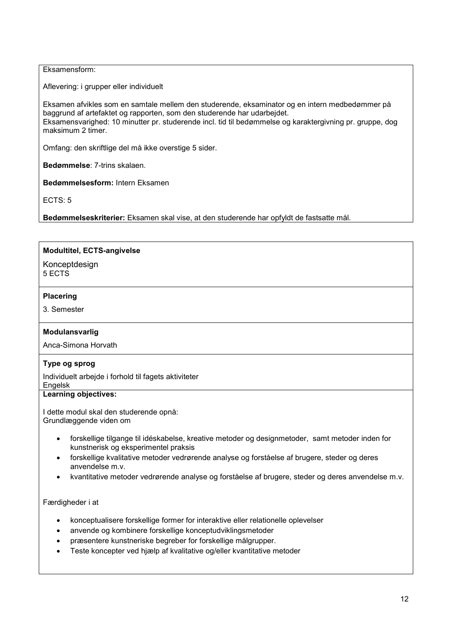### Eksamensform:

Aflevering: i grupper eller individuelt

Eksamen afvikles som en samtale mellem den studerende, eksaminator og en intern medbedømmer på baggrund af artefaktet og rapporten, som den studerende har udarbejdet. Eksamensvarighed: 10 minutter pr. studerende incl. tid til bedømmelse og karaktergivning pr. gruppe, dog maksimum 2 timer.

Omfang: den skriftlige del må ikke overstige 5 sider.

**Bedømmelse**: 7-trins skalaen.

**Bedømmelsesform:** Intern Eksamen

ECTS: 5

**Bedømmelseskriterier:** Eksamen skal vise, at den studerende har opfyldt de fastsatte mål.

## **Modultitel, ECTS-angivelse**

Konceptdesign 5 ECTS

### **Placering**

3. Semester

## **Modulansvarlig**

Anca-Simona Horvath

## **Type og sprog**

Individuelt arbejde i forhold til fagets aktiviteter

# Engelsk

## **Learning objectives:**

I dette modul skal den studerende opnå: Grundlæggende viden om

- forskellige tilgange til idéskabelse, kreative metoder og designmetoder, samt metoder inden for kunstnerisk og eksperimentel praksis
- forskellige kvalitative metoder vedrørende analyse og forståelse af brugere, steder og deres anvendelse m.v.
- kvantitative metoder vedrørende analyse og forståelse af brugere, steder og deres anvendelse m.v.

Færdigheder i at

- konceptualisere forskellige former for interaktive eller relationelle oplevelser
- anvende og kombinere forskellige konceptudviklingsmetoder
- præsentere kunstneriske begreber for forskellige målgrupper.
- Teste koncepter ved hjælp af kvalitative og/eller kvantitative metoder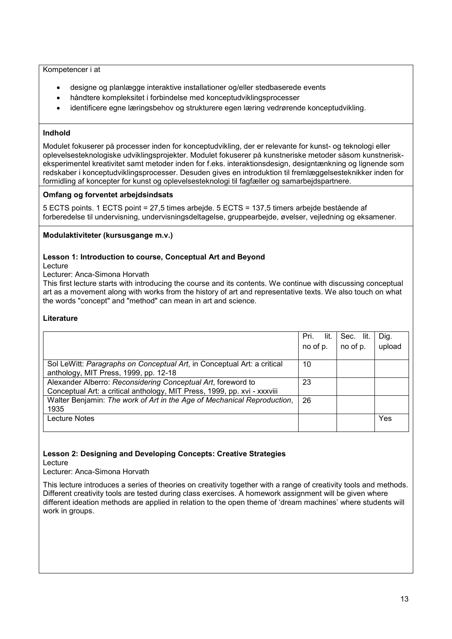#### Kompetencer i at

- designe og planlægge interaktive installationer og/eller stedbaserede events
- håndtere kompleksitet i forbindelse med konceptudviklingsprocesser
- identificere egne læringsbehov og strukturere egen læring vedrørende konceptudvikling.

### **Indhold**

Modulet fokuserer på processer inden for konceptudvikling, der er relevante for kunst- og teknologi eller oplevelsesteknologiske udviklingsprojekter. Modulet fokuserer på kunstneriske metoder såsom kunstneriskeksperimentel kreativitet samt metoder inden for f.eks. interaktionsdesign, designtænkning og lignende som redskaber i konceptudviklingsprocesser. Desuden gives en introduktion til fremlæggelsesteknikker inden for formidling af koncepter for kunst og oplevelsesteknologi til fagfæller og samarbejdspartnere.

### **Omfang og forventet arbejdsindsats**

5 ECTS points. 1 ECTS point = 27,5 times arbejde. 5 ECTS = 137,5 timers arbejde bestående af forberedelse til undervisning, undervisningsdeltagelse, gruppearbejde, øvelser, vejledning og eksamener.

## **Modulaktiviteter (kursusgange m.v.)**

### **Lesson 1: Introduction to course, Conceptual Art and Beyond**

Lecture

Lecturer: Anca-Simona Horvath

This first lecture starts with introducing the course and its contents. We continue with discussing conceptual art as a movement along with works from the history of art and representative texts. We also touch on what the words "concept" and "method" can mean in art and science.

## **Literature**

|                                                                          | Pri.<br>lit. | lit.<br>Sec. | Dig.   |
|--------------------------------------------------------------------------|--------------|--------------|--------|
|                                                                          | no of p.     | no of p.     | upload |
|                                                                          |              |              |        |
| Sol LeWitt: Paragraphs on Conceptual Art, in Conceptual Art: a critical  | 10           |              |        |
| anthology, MIT Press, 1999, pp. 12-18                                    |              |              |        |
| Alexander Alberro: Reconsidering Conceptual Art, foreword to             | 23           |              |        |
| Conceptual Art: a critical anthology, MIT Press, 1999, pp. xvi - xxxviii |              |              |        |
| Walter Benjamin: The work of Art in the Age of Mechanical Reproduction,  | 26           |              |        |
| 1935                                                                     |              |              |        |
| Lecture Notes                                                            |              |              | Yes    |
|                                                                          |              |              |        |

### **Lesson 2: Designing and Developing Concepts: Creative Strategies**

Lecture

Lecturer: Anca-Simona Horvath

This lecture introduces a series of theories on creativity together with a range of creativity tools and methods. Different creativity tools are tested during class exercises. A homework assignment will be given where different ideation methods are applied in relation to the open theme of 'dream machines' where students will work in groups.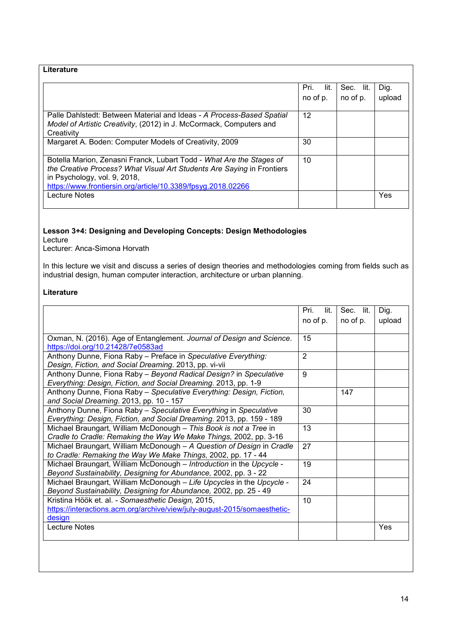| Literature                                                                                                                                                                                                                                     |              |           |        |
|------------------------------------------------------------------------------------------------------------------------------------------------------------------------------------------------------------------------------------------------|--------------|-----------|--------|
|                                                                                                                                                                                                                                                | lit.<br>Pri. | Sec. lit. | Dig.   |
|                                                                                                                                                                                                                                                | no of p.     | no of p.  | upload |
| Palle Dahlstedt: Between Material and Ideas - A Process-Based Spatial<br>Model of Artistic Creativity, (2012) in J. McCormack, Computers and<br>Creativity                                                                                     | 12           |           |        |
| Margaret A. Boden: Computer Models of Creativity, 2009                                                                                                                                                                                         | 30           |           |        |
| Botella Marion, Zenasni Franck, Lubart Todd - What Are the Stages of<br>the Creative Process? What Visual Art Students Are Saying in Frontiers<br>in Psychology, vol. 9, 2018,<br>https://www.frontiersin.org/article/10.3389/fpsyg.2018.02266 | 10           |           |        |
| <b>Lecture Notes</b>                                                                                                                                                                                                                           |              |           | Yes    |

## **Lesson 3+4: Designing and Developing Concepts: Design Methodologies** Lecture

Lecturer: Anca-Simona Horvath

In this lecture we visit and discuss a series of design theories and methodologies coming from fields such as industrial design, human computer interaction, architecture or urban planning.

### **Literature**

|                                                                          | Pri.<br>lit.   | Sec. lit. | Dig.   |
|--------------------------------------------------------------------------|----------------|-----------|--------|
|                                                                          | no of p.       | no of p.  | upload |
|                                                                          |                |           |        |
| Oxman, N. (2016). Age of Entanglement. Journal of Design and Science.    | 15             |           |        |
| https://doi.org/10.21428/7e0583ad                                        |                |           |        |
| Anthony Dunne, Fiona Raby - Preface in Speculative Everything:           | $\overline{2}$ |           |        |
| Design, Fiction, and Social Dreaming. 2013, pp. vi-vii                   |                |           |        |
| Anthony Dunne, Fiona Raby - Beyond Radical Design? in Speculative        | 9              |           |        |
| Everything: Design, Fiction, and Social Dreaming. 2013, pp. 1-9          |                |           |        |
| Anthony Dunne, Fiona Raby - Speculative Everything: Design, Fiction,     |                | 147       |        |
| and Social Dreaming. 2013, pp. 10 - 157                                  |                |           |        |
| Anthony Dunne, Fiona Raby - Speculative Everything in Speculative        | 30             |           |        |
| Everything: Design, Fiction, and Social Dreaming. 2013, pp. 159 - 189    |                |           |        |
| Michael Braungart, William McDonough - This Book is not a Tree in        | 13             |           |        |
| Cradle to Cradle: Remaking the Way We Make Things, 2002, pp. 3-16        |                |           |        |
| Michael Braungart, William McDonough - A Question of Design in Cradle    | 27             |           |        |
| to Cradle: Remaking the Way We Make Things, 2002, pp. 17 - 44            |                |           |        |
| Michael Braungart, William McDonough - Introduction in the Upcycle -     | 19             |           |        |
| Beyond Sustainability, Designing for Abundance, 2002, pp. 3 - 22         |                |           |        |
| Michael Braungart, William McDonough - Life Upcycles in the Upcycle -    | 24             |           |        |
| Beyond Sustainability, Designing for Abundance, 2002, pp. 25 - 49        |                |           |        |
| Kristina Höök et. al. - Somaesthetic Design, 2015,                       | 10             |           |        |
| https://interactions.acm.org/archive/view/july-august-2015/somaesthetic- |                |           |        |
| design                                                                   |                |           |        |
| <b>Lecture Notes</b>                                                     |                |           | Yes    |
|                                                                          |                |           |        |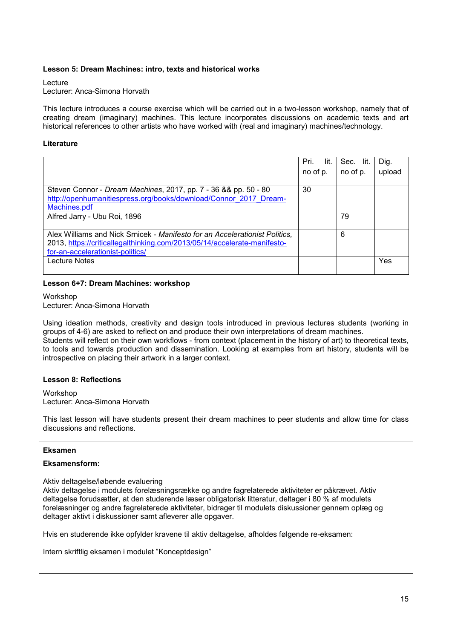#### **Lesson 5: Dream Machines: intro, texts and historical works**

Lecture

Lecturer: Anca-Simona Horvath

This lecture introduces a course exercise which will be carried out in a two-lesson workshop, namely that of creating dream (imaginary) machines. This lecture incorporates discussions on academic texts and art historical references to other artists who have worked with (real and imaginary) machines/technology.

#### **Literature**

|                                                                                                                                                                                             | Pri.<br>lit.<br>no of p. | Sec. lit.<br>no of p. | Dig.<br>upload |
|---------------------------------------------------------------------------------------------------------------------------------------------------------------------------------------------|--------------------------|-----------------------|----------------|
| Steven Connor - Dream Machines, 2017, pp. 7 - 36 & & pp. 50 - 80<br>http://openhumanitiespress.org/books/download/Connor 2017 Dream-<br>Machines.pdf                                        | 30                       |                       |                |
| Alfred Jarry - Ubu Roi, 1896                                                                                                                                                                |                          | 79                    |                |
| Alex Williams and Nick Srnicek - Manifesto for an Accelerationist Politics,<br>2013, https://criticallegalthinking.com/2013/05/14/accelerate-manifesto-<br>for-an-accelerationist-politics/ |                          | 6                     |                |
| Lecture Notes                                                                                                                                                                               |                          |                       | Yes            |

#### **Lesson 6+7: Dream Machines: workshop**

**Workshop** 

Lecturer: Anca-Simona Horvath

Using ideation methods, creativity and design tools introduced in previous lectures students (working in groups of 4-6) are asked to reflect on and produce their own interpretations of dream machines. Students will reflect on their own workflows - from context (placement in the history of art) to theoretical texts, to tools and towards production and dissemination. Looking at examples from art history, students will be introspective on placing their artwork in a larger context.

### **Lesson 8: Reflections**

Workshop Lecturer: Anca-Simona Horvath

This last lesson will have students present their dream machines to peer students and allow time for class discussions and reflections.

### **Eksamen**

### **Eksamensform:**

#### Aktiv deltagelse/løbende evaluering

Aktiv deltagelse i modulets forelæsningsrække og andre fagrelaterede aktiviteter er påkrævet. Aktiv deltagelse forudsætter, at den studerende læser obligatorisk litteratur, deltager i 80 % af modulets forelæsninger og andre fagrelaterede aktiviteter, bidrager til modulets diskussioner gennem oplæg og deltager aktivt i diskussioner samt afleverer alle opgaver.

Hvis en studerende ikke opfylder kravene til aktiv deltagelse, afholdes følgende re-eksamen:

Intern skriftlig eksamen i modulet "Konceptdesign"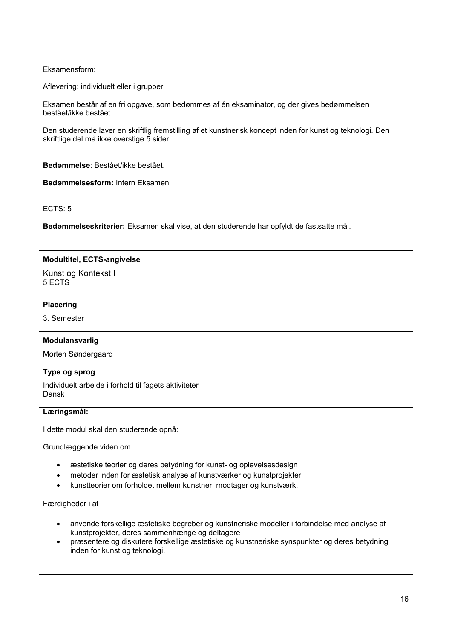### Eksamensform:

Aflevering: individuelt eller i grupper

Eksamen består af en fri opgave, som bedømmes af én eksaminator, og der gives bedømmelsen bestået/ikke bestået.

Den studerende laver en skriftlig fremstilling af et kunstnerisk koncept inden for kunst og teknologi. Den skriftlige del må ikke overstige 5 sider.

**Bedømmelse**: Bestået/ikke bestået.

**Bedømmelsesform:** Intern Eksamen

ECTS: 5

**Bedømmelseskriterier:** Eksamen skal vise, at den studerende har opfyldt de fastsatte mål.

### **Modultitel, ECTS-angivelse**

Kunst og Kontekst I 5 ECTS

#### **Placering**

3. Semester

### **Modulansvarlig**

Morten Søndergaard

## **Type og sprog**

Individuelt arbejde i forhold til fagets aktiviteter Dansk

### **Læringsmål:**

I dette modul skal den studerende opnå:

Grundlæggende viden om

- æstetiske teorier og deres betydning for kunst- og oplevelsesdesign
- metoder inden for æstetisk analyse af kunstværker og kunstprojekter
- kunstteorier om forholdet mellem kunstner, modtager og kunstværk.

#### Færdigheder i at

- anvende forskellige æstetiske begreber og kunstneriske modeller i forbindelse med analyse af kunstprojekter, deres sammenhænge og deltagere
- præsentere og diskutere forskellige æstetiske og kunstneriske synspunkter og deres betydning inden for kunst og teknologi.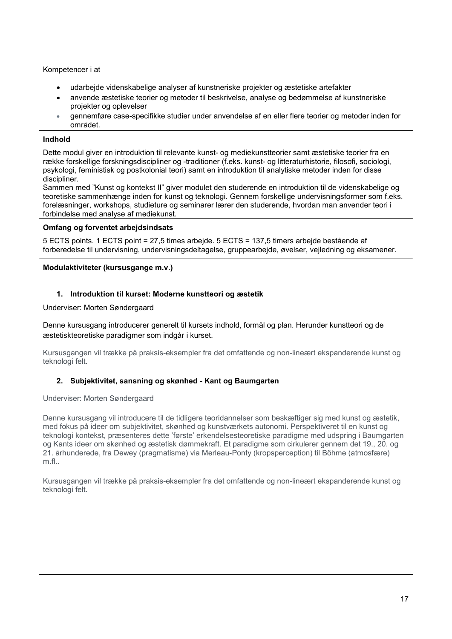### Kompetencer i at

- udarbejde videnskabelige analyser af kunstneriske projekter og æstetiske artefakter
- anvende æstetiske teorier og metoder til beskrivelse, analyse og bedømmelse af kunstneriske projekter og oplevelser
- gennemføre case-specifikke studier under anvendelse af en eller flere teorier og metoder inden for området.

## **Indhold**

Dette modul giver en introduktion til relevante kunst- og mediekunstteorier samt æstetiske teorier fra en række forskellige forskningsdiscipliner og -traditioner (f.eks. kunst- og litteraturhistorie, filosofi, sociologi, psykologi, feministisk og postkolonial teori) samt en introduktion til analytiske metoder inden for disse discipliner.

Sammen med "Kunst og kontekst II" giver modulet den studerende en introduktion til de videnskabelige og teoretiske sammenhænge inden for kunst og teknologi. Gennem forskellige undervisningsformer som f.eks. forelæsninger, workshops, studieture og seminarer lærer den studerende, hvordan man anvender teori i forbindelse med analyse af mediekunst.

## **Omfang og forventet arbejdsindsats**

5 ECTS points. 1 ECTS point = 27,5 times arbejde. 5 ECTS = 137,5 timers arbejde bestående af forberedelse til undervisning, undervisningsdeltagelse, gruppearbejde, øvelser, vejledning og eksamener.

### **Modulaktiviteter (kursusgange m.v.)**

## **1. Introduktion til kurset: Moderne kunstteori og æstetik**

Underviser: Morten Søndergaard

Denne kursusgang introducerer generelt til kursets indhold, formål og plan. Herunder kunstteori og de æstetiskteoretiske paradigmer som indgår i kurset.

Kursusgangen vil trække på praksis-eksempler fra det omfattende og non-lineært ekspanderende kunst og teknologi felt.

## **2. Subjektivitet, sansning og skønhed - Kant og Baumgarten**

Underviser: Morten Søndergaard

Denne kursusgang vil introducere til de tidligere teoridannelser som beskæftiger sig med kunst og æstetik, med fokus på ideer om subjektivitet, skønhed og kunstværkets autonomi. Perspektiveret til en kunst og teknologi kontekst, præsenteres dette 'første' erkendelsesteoretiske paradigme med udspring i Baumgarten og Kants ideer om skønhed og æstetisk dømmekraft. Et paradigme som cirkulerer gennem det 19., 20. og 21. århunderede, fra Dewey (pragmatisme) via Merleau-Ponty (kropsperception) til Böhme (atmosfære) m.fl..

Kursusgangen vil trække på praksis-eksempler fra det omfattende og non-lineært ekspanderende kunst og teknologi felt.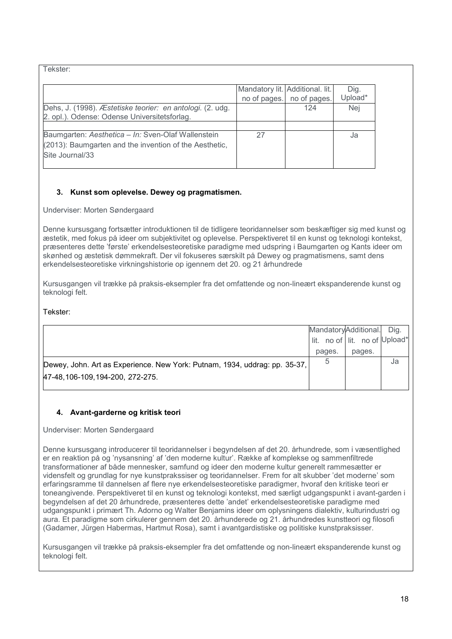| Tekster:                                                                                                                        |              |                                                 |                 |
|---------------------------------------------------------------------------------------------------------------------------------|--------------|-------------------------------------------------|-----------------|
|                                                                                                                                 | no of pages. | Mandatory lit. Additional. lit.<br>no of pages. | Dig.<br>Upload* |
| Dehs, J. (1998). Æstetiske teorier: en antologi. (2. udg.<br>2. opl.). Odense: Odense Universitetsforlag.                       |              | 124                                             | Nej             |
| Baumgarten: Aesthetica - In: Sven-Olaf Wallenstein<br>(2013): Baumgarten and the invention of the Aesthetic,<br>Site Journal/33 | 27           |                                                 | Ja              |
|                                                                                                                                 |              |                                                 |                 |

# **3. Kunst som oplevelse. Dewey og pragmatismen.**

Underviser: Morten Søndergaard

Denne kursusgang fortsætter introduktionen til de tidligere teoridannelser som beskæftiger sig med kunst og æstetik, med fokus på ideer om subjektivitet og oplevelse. Perspektiveret til en kunst og teknologi kontekst, præsenteres dette 'første' erkendelsesteoretiske paradigme med udspring i Baumgarten og Kants ideer om skønhed og æstetisk dømmekraft. Der vil fokuseres særskilt på Dewey og pragmatismens, samt dens erkendelsesteoretiske virkningshistorie op igennem det 20. og 21 århundrede

Kursusgangen vil trække på praksis-eksempler fra det omfattende og non-lineært ekspanderende kunst og teknologi felt.

## Tekster:

|                                                                            | MandatoryAdditional.          |        | Dig. |
|----------------------------------------------------------------------------|-------------------------------|--------|------|
|                                                                            | lit. no of lit. no of Upload* |        |      |
|                                                                            | pages.                        | pages. |      |
| Dewey, John. Art as Experience. New York: Putnam, 1934, uddrag: pp. 35-37, | 5                             |        | Ja   |
| 47-48, 106-109, 194-200, 272-275.                                          |                               |        |      |
|                                                                            |                               |        |      |

# **4. Avant-garderne og kritisk teori**

Underviser: Morten Søndergaard

Denne kursusgang introducerer til teoridannelser i begyndelsen af det 20. århundrede, som i væsentlighed er en reaktion på og 'nysansning' af 'den moderne kultur'. Række af komplekse og sammenfiltrede transformationer af både mennesker, samfund og ideer den moderne kultur generelt rammesætter er vidensfelt og grundlag for nye kunstprakssiser og teoridannelser. Frem for alt skubber 'det moderne' som erfaringsramme til dannelsen af flere nye erkendelsesteoretiske paradigmer, hvoraf den kritiske teori er toneangivende. Perspektiveret til en kunst og teknologi kontekst, med særligt udgangspunkt i avant-garden i begyndelsen af det 20 århundrede, præsenteres dette 'andet' erkendelsesteoretiske paradigme med udgangspunkt i primært Th. Adorno og Walter Benjamins ideer om oplysningens dialektiv, kulturindustri og aura. Et paradigme som cirkulerer gennem det 20. århunderede og 21. århundredes kunstteori og filosofi (Gadamer, Jürgen Habermas, Hartmut Rosa), samt i avantgardistiske og politiske kunstpraksisser.

Kursusgangen vil trække på praksis-eksempler fra det omfattende og non-lineært ekspanderende kunst og teknologi felt.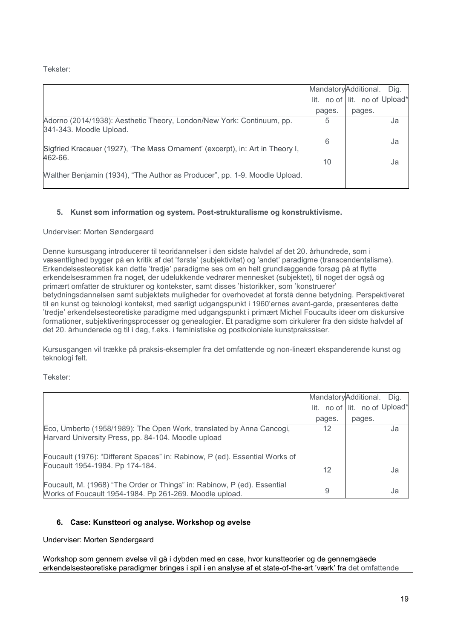Tekster:

|                                                                                                  |        | MandatoryAdditional.          | Dig. |
|--------------------------------------------------------------------------------------------------|--------|-------------------------------|------|
|                                                                                                  |        | lit. no of lit. no of Upload* |      |
|                                                                                                  | pages. | pages.                        |      |
| Adorno (2014/1938): Aesthetic Theory, London/New York: Continuum, pp.<br>341-343. Moodle Upload. | 5      |                               | Ja   |
| Sigfried Kracauer (1927), 'The Mass Ornament' (excerpt), in: Art in Theory I,                    | 6      |                               | Ja   |
| 462-66.                                                                                          | 10     |                               | Ja   |
| Walther Benjamin (1934), "The Author as Producer", pp. 1-9. Moodle Upload.                       |        |                               |      |

## **5. Kunst som information og system. Post-strukturalisme og konstruktivisme.**

### Underviser: Morten Søndergaard

Denne kursusgang introducerer til teoridannelser i den sidste halvdel af det 20. århundrede, som i væsentlighed bygger på en kritik af det 'første' (subjektivitet) og 'andet' paradigme (transcendentalisme). Erkendelsesteoretisk kan dette 'tredje' paradigme ses om en helt grundlæggende forsøg på at flytte erkendelsesrammen fra noget, der udelukkende vedrører mennesket (subjektet), til noget der også og primært omfatter de strukturer og kontekster, samt disses 'historikker, som 'konstruerer' betydningsdannelsen samt subjektets muligheder for overhovedet at forstå denne betydning. Perspektiveret til en kunst og teknologi kontekst, med særligt udgangspunkt i 1960'ernes avant-garde, præsenteres dette 'tredje' erkendelsesteoretiske paradigme med udgangspunkt i primært Michel Foucaults ideer om diskursive formationer, subjektiveringsprocesser og genealogier. Et paradigme som cirkulerer fra den sidste halvdel af det 20. århunderede og til i dag, f.eks. i feministiske og postkoloniale kunstprakssiser.

Kursusgangen vil trække på praksis-eksempler fra det omfattende og non-lineært ekspanderende kunst og teknologi felt.

Tekster:

|                                                                                                                                     | MandatoryAdditional. |                               | Dia. |
|-------------------------------------------------------------------------------------------------------------------------------------|----------------------|-------------------------------|------|
|                                                                                                                                     |                      | lit. no of lit. no of Upload* |      |
|                                                                                                                                     | pages.               | pages.                        |      |
| Eco, Umberto (1958/1989): The Open Work, translated by Anna Cancogi,<br>Harvard University Press, pp. 84-104. Moodle upload         | 12                   |                               | Ja   |
| Foucault (1976): "Different Spaces" in: Rabinow, P (ed). Essential Works of                                                         |                      |                               |      |
| Foucault 1954-1984. Pp 174-184.                                                                                                     | 12                   |                               | Ja   |
| Foucault, M. (1968) "The Order or Things" in: Rabinow, P (ed). Essential<br>Works of Foucault 1954-1984. Pp 261-269. Moodle upload. | 9                    |                               | Ja   |

## **6. Case: Kunstteori og analyse. Workshop og øvelse**

Underviser: Morten Søndergaard

Workshop som gennem øvelse vil gå i dybden med en case, hvor kunstteorier og de gennemgåede erkendelsesteoretiske paradigmer bringes i spil i en analyse af et state-of-the-art 'værk' fra det omfattende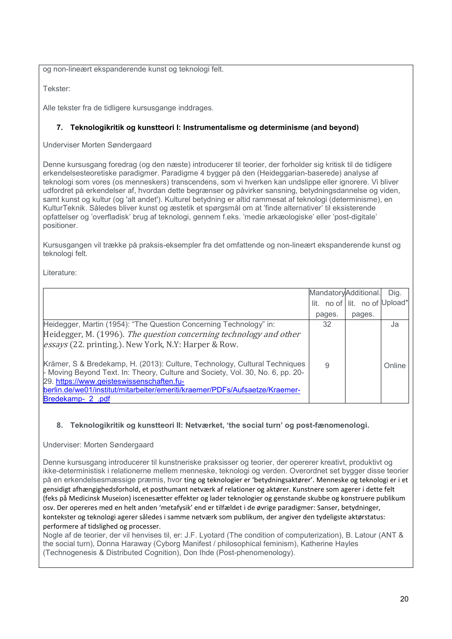og non-lineært ekspanderende kunst og teknologi felt.

Tekster:

Alle tekster fra de tidligere kursusgange inddrages.

## **7. Teknologikritik og kunstteori I: Instrumentalisme og determinisme (and beyond)**

Underviser Morten Søndergaard

Denne kursusgang foredrag (og den næste) introducerer til teorier, der forholder sig kritisk til de tidligere erkendelsesteoretiske paradigmer. Paradigme 4 bygger på den (Heideggarian-baserede) analyse af teknologi som vores (os menneskers) transcendens, som vi hverken kan undslippe eller ignorere. Vi bliver udfordret på erkendelser af, hvordan dette begrænser og påvirker sansning, betydningsdannelse og viden, samt kunst og kultur (og 'alt andet'). Kulturel betydning er altid rammesat af teknologi (determinisme), en KulturTeknik. Således bliver kunst og æstetik et spørgsmål om at 'finde alternativer' til eksisterende opfattelser og 'overfladisk' brug af teknologi, gennem f.eks. 'medie arkæologiske' eller 'post-digitale' positioner.

Kursusgangen vil trække på praksis-eksempler fra det omfattende og non-lineært ekspanderende kunst og teknologi felt.

Literature:

|                                                                                                                                                                                                           | MandatoryAdditional. |                               | Dig.   |
|-----------------------------------------------------------------------------------------------------------------------------------------------------------------------------------------------------------|----------------------|-------------------------------|--------|
|                                                                                                                                                                                                           |                      | lit. no of lit. no of Upload* |        |
|                                                                                                                                                                                                           | pages.               | pages.                        |        |
| Heidegger, Martin (1954): "The Question Concerning Technology" in:                                                                                                                                        | 32                   |                               | Ja     |
| Heidegger, M. (1996). The question concerning technology and other                                                                                                                                        |                      |                               |        |
| essays (22. printing.). New York, N.Y: Harper & Row.                                                                                                                                                      |                      |                               |        |
| Krämer, S & Bredekamp, H. (2013): Culture, Technology, Cultural Techniques<br>- Moving Beyond Text. In: Theory, Culture and Society, Vol. 30, No. 6, pp. 20-<br>29. https://www.geisteswissenschaften.fu- | 9                    |                               | Online |
| berlin.de/we01/institut/mitarbeiter/emeriti/kraemer/PDFs/Aufsaetze/Kraemer-                                                                                                                               |                      |                               |        |
| Bredekamp- 2 .pdf                                                                                                                                                                                         |                      |                               |        |

## **8. Teknologikritik og kunstteori II: Netværket, 'the social turn' og post-fænomenologi.**

Underviser: Morten Søndergaard

Denne kursusgang introducerer til kunstneriske praksisser og teorier, der opererer kreativt, produktivt og ikke-deterministisk i relationerne mellem menneske, teknologi og verden. Overordnet set bygger disse teorier på en erkendelsesmæssige præmis, hvor ting og teknologier er 'betydningsaktører'. Menneske og teknologi er i et gensidigt afhængighedsforhold, et posthumant netværk af relationer og aktører. Kunstnere som agerer i dette felt (feks på Medicinsk Museion) iscenesætter effekter og lader teknologier og genstande skubbe og konstruere publikum osv. Der opereres med en helt anden 'metafysik' end er tilfældet i de øvrige paradigmer: Sanser, betydninger, kontekster og teknologi agerer således i samme netværk som publikum, der angiver den tydeligste aktørstatus: performere af tidslighed og processer.

Nogle af de teorier, der vil henvises til, er: J.F. Lyotard (The condition of computerization), B. Latour (ANT & the social turn), Donna Haraway (Cyborg Manifest / philosophical feminism), Katherine Hayles (Technogenesis & Distributed Cognition), Don Ihde (Post-phenomenology).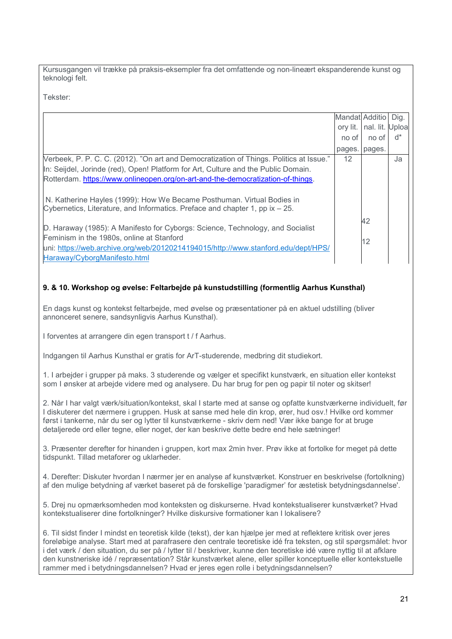Kursusgangen vil trække på praksis-eksempler fra det omfattende og non-lineært ekspanderende kunst og teknologi felt.

Tekster:

|                                                                                         | Mandat Additio Dig. |                 |    |
|-----------------------------------------------------------------------------------------|---------------------|-----------------|----|
|                                                                                         | ory lit.            | nal. lit. Uploa |    |
|                                                                                         | no of               | no of           | ď* |
|                                                                                         | pages. pages.       |                 |    |
| Verbeek, P. P. C. C. (2012). "On art and Democratization of Things. Politics at Issue." | 12                  |                 | Ja |
| In: Seijdel, Jorinde (red), Open! Platform for Art, Culture and the Public Domain.      |                     |                 |    |
| Rotterdam. https://www.onlineopen.org/on-art-and-the-democratization-of-things.         |                     |                 |    |
|                                                                                         |                     |                 |    |
| N. Katherine Hayles (1999): How We Became Posthuman. Virtual Bodies in                  |                     |                 |    |
| Cybernetics, Literature, and Informatics. Preface and chapter 1, pp ix - 25.            |                     |                 |    |
|                                                                                         |                     | 42              |    |
| D. Haraway (1985): A Manifesto for Cyborgs: Science, Technology, and Socialist          |                     |                 |    |
| Feminism in the 1980s, online at Stanford                                               |                     | 12              |    |
| uni: https://web.archive.org/web/20120214194015/http://www.stanford.edu/dept/HPS/       |                     |                 |    |
| Haraway/CyborgManifesto.html                                                            |                     |                 |    |

## **9. & 10. Workshop og øvelse: Feltarbejde på kunstudstilling (formentlig Aarhus Kunsthal)**

En dags kunst og kontekst feltarbejde, med øvelse og præsentationer på en aktuel udstilling (bliver annonceret senere, sandsynligvis Aarhus Kunsthal).

I forventes at arrangere din egen transport t / f Aarhus.

Indgangen til Aarhus Kunsthal er gratis for ArT-studerende, medbring dit studiekort.

1. I arbejder i grupper på maks. 3 studerende og vælger et specifikt kunstværk, en situation eller kontekst som I ønsker at arbejde videre med og analysere. Du har brug for pen og papir til noter og skitser!

2. Når I har valgt værk/situation/kontekst, skal I starte med at sanse og opfatte kunstværkerne individuelt, før I diskuterer det nærmere i gruppen. Husk at sanse med hele din krop, ører, hud osv.! Hvilke ord kommer først i tankerne, når du ser og lytter til kunstværkerne - skriv dem ned! Vær ikke bange for at bruge detaljerede ord eller tegne, eller noget, der kan beskrive dette bedre end hele sætninger!

3. Præsenter derefter for hinanden i gruppen, kort max 2min hver. Prøv ikke at fortolke for meget på dette tidspunkt. Tillad metaforer og uklarheder.

4. Derefter: Diskuter hvordan I nærmer jer en analyse af kunstværket. Konstruer en beskrivelse (fortolkning) af den mulige betydning af værket baseret på de forskellige 'paradigmer' for æstetisk betydningsdannelse'.

5. Drej nu opmærksomheden mod konteksten og diskurserne. Hvad kontekstualiserer kunstværket? Hvad kontekstualiserer dine fortolkninger? Hvilke diskursive formationer kan I lokalisere?

6. Til sidst finder I mindst en teoretisk kilde (tekst), der kan hjælpe jer med at reflektere kritisk over jeres foreløbige analyse. Start med at parafrasere den centrale teoretiske idé fra teksten, og stil spørgsmålet: hvor i det værk / den situation, du ser på / lytter til / beskriver, kunne den teoretiske idé være nyttig til at afklare den kunstneriske idé / repræsentation? Står kunstværket alene, eller spiller konceptuelle eller kontekstuelle rammer med i betydningsdannelsen? Hvad er jeres egen rolle i betydningsdannelsen?